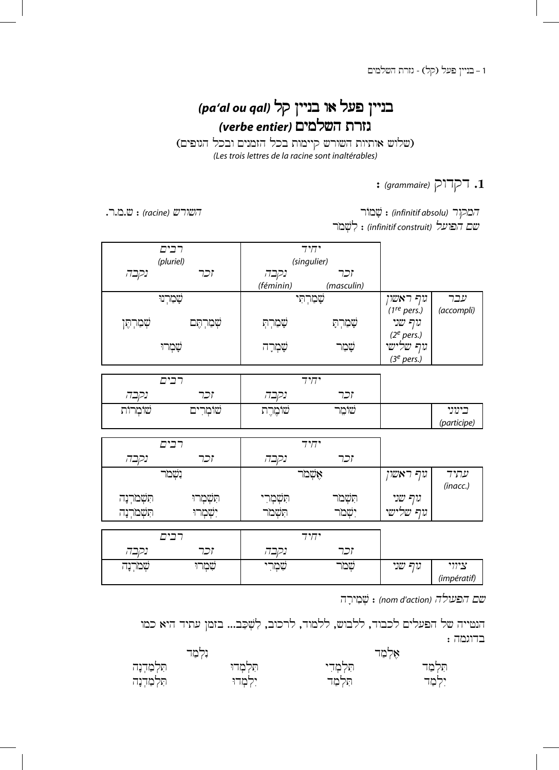1 – בניין פעל (קל) - גזרת השלמים

## (pa'al ou qal) בניין פעל או בניין ,<br>גזרת השלמים *(verbe entier)*

(שלוש אותיות השורש קיימות בכל הזמנים ובכל הגופים) *(Les trois lettres de la racine sont inaltérables)*

## 1. TGTIG<sub>(grammaire)</sub>:

.r.m.c : *(racine)* crwch r›m© : *(infinitif absolu)* rwqmh

י*שם הפועל (infinitif construit*) : לִשְׁמֹר

|             | רבים        |             | יחיד        |                         |             |
|-------------|-------------|-------------|-------------|-------------------------|-------------|
|             | (pluriel)   |             | (singulier) |                         |             |
| נקבה        | וכר         | וכר<br>נקבה |             |                         |             |
|             |             | (féminin)   | (masculin)  |                         |             |
|             | שָׁמַרְנוּ  |             | שָׁמַרְתִּי | נוף ראשון               | עבר         |
|             |             |             |             | (1 <sup>re</sup> pers.) | (accompli)  |
| שְׁמַרְתֶּן | שְׁמַרְתֶּם | שָׁמַרְתָ   | שָׁמַרְתָ   | גוף שני                 |             |
|             |             |             |             | (2 <sup>e</sup> pers.)  |             |
|             | שָׁמְרוּ    | שָׁמְרָה    | שמר         | גוף שלישי               |             |
|             |             |             |             | (3 <sup>e</sup> pers.)  |             |
|             |             |             |             |                         |             |
|             | רבים        |             | יחיד        |                         |             |
| נקבה        | וכר         | נקבה        | וכר         |                         |             |
| שׁוֹמְרוֹת  | שׁוֹמְרִים  | שׁוֹמֶרֶת   | שומר        |                         | בינוני      |
|             |             |             |             |                         | (participe) |
|             |             |             |             |                         |             |
|             | רבים        |             | יחיד        |                         |             |
| ותרה        | ירר         | ותרה        | ירר         |                         |             |

| נקבה                        | וכר        | נקבה             | וכר      |           |                  |
|-----------------------------|------------|------------------|----------|-----------|------------------|
|                             | נשמר       | אָשְׁמַר         |          | גוף ראשון | עתיד<br>(inacc.) |
| תִּשְׁמֹרְנָה               | הִטָּמְרוּ | הִשְׁמְרִי       | תִשְׁמַר | גוף שני   |                  |
| תִּשְׁמֹרְנָה<br>יִשְׁמְרוּ |            | חשמר<br>יִשְׁמַר |          | נוף שלישי |                  |
| רבים                        |            |                  | יחיד     |           |                  |
| נקבה                        | וכר        | נקבה             | וכר      |           |                  |
| שמרנה                       | שמרו       | שִׁמְרִי         | שמר      | גוף שני   | ציווי            |

שם הפעולה (nom d'action) : שְׁמִירַה

*(impératif)*

הנטייה של הפעלים לכבוד, ללבוש, ללמוד, לרכוב, לִשְׁכַב... בזמן עתיד היא כמו  $:$  בדוגמה

|              | ולמד       | אלמד       |          |  |
|--------------|------------|------------|----------|--|
| תִּלְמַרְנָה | תִּלְמָדוּ | תִּלְמְדִי | תִּלְמַד |  |
| תִּלְמַרְנָה | יִלְמְדוּ  | תִּלְמַד   | ילמד:    |  |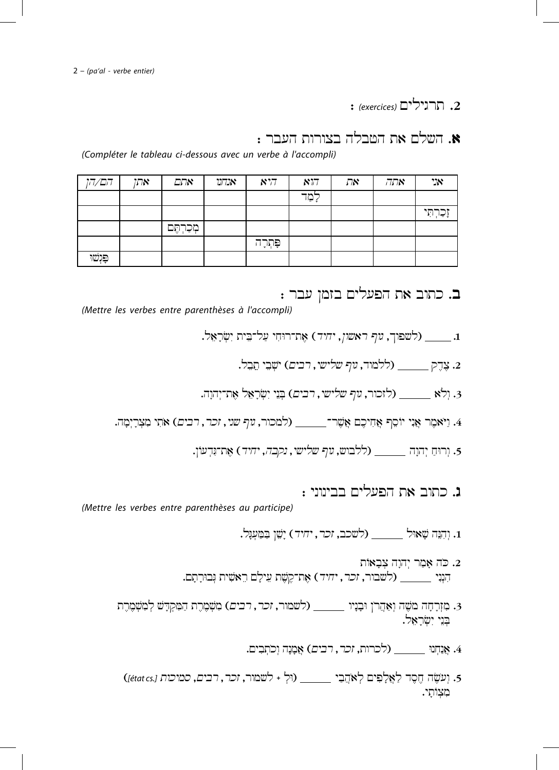2. הרנילים (exercices):

א. השלם את הטבלה בצורות העבר :

(Compléter le tableau ci-dessous avec un verbe à l'accompli)

| הם/הן    | אתן | אתם       | אנדונו $\kappa$ | 877     | $N\sqrt{7}$ | את | אתה | אני        |
|----------|-----|-----------|-----------------|---------|-------------|----|-----|------------|
|          |     |           |                 |         | לִמַר       |    |     |            |
|          |     |           |                 |         |             |    |     | וְכַרְתִּי |
|          |     | מְכַרְחֶב |                 |         |             |    |     |            |
|          |     |           |                 | פּתְרָה |             |    |     |            |
| פּוָשׁוּ |     |           |                 |         |             |    |     |            |

ב. כתוב את הפעלים בזמן עבר :

(Mettre les verbes entre parenthèses à l'accompli)

- - . צדק (ללמוד, *גוף שלישי*, ר*בים*) ישבי תבל.
- . וְלֹא \_\_\_\_\_\_ (לזכור, *נוף שלישי*, רבים) בְּנֵי יִשְׂרָאֵל אֶת־יְהוָה.
- 4. וַיֹּאמֶר אֵנִי יוֹסֵף אֲחִיכֶם אֲשֶׁר־\_\_\_\_\_\_ (למכור, *נוף שני, זכר, רבים*) אֹתִי מְצִרָיִמָה.
	- 5. וִרוּחַ יְהוָה \_\_\_\_\_\_\_ (ללבוש, *גוף שלישי, נקבה, יחיד*) אֶת־גְּדְעוֹן.

נ. כתוב את הפעלים בבינוני :

(Mettre les verbes entre parenthèses au participe)

1. וִהְנֶה שָׁאוּל \_\_\_\_\_\_\_ (לשכב, *זכר, יחיד*) יַשֵׁן בַּמַעִנֶּל.

- . כה אָמַר יְהוָה צִבָאוֹת 2 הִנְנִי \_\_\_\_\_\_\_ (לשבור, זכר, יחיד) אֶת־קֶשֶׁת עֵילָם רֵאשִׁית גְּבוּרַתַם.
- 3. מִזְרָחָה מֹשֶׁה וְאַהֲרֹן וּבָנָיו \_\_\_\_\_\_\_ (לשמור, זכר, רבים) מִשְׁמֶרֶת הַמִּקְדָשׁ לְמִשְׁמֶרֶת בִּנֵי יִשְׂרָאֵל.
	- 4. אנחנו ילכרות, *זכר, רבים*) אמנה וכתבים.
	- 5. וְעֹשֶׂה חֶסֶד לַאֲלִפִּים לְאֹהֲבָי \_\_\_\_\_\_\_ (וּלְ + לשמור, זכר, רבים, סמיכות [état cs]) מצותי.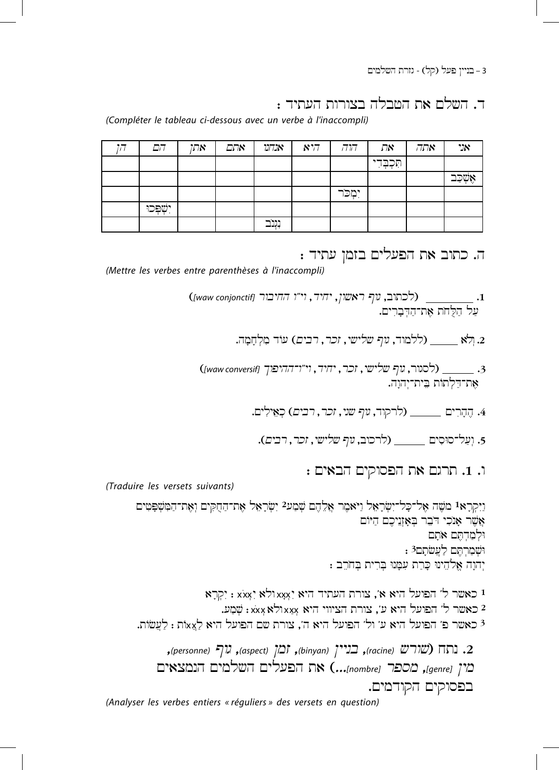3 – בניין פעל (קל) - גזרת השלמים

ד. השלם את הטבלה בצורות העתיד :

(Compléter le tableau ci-dessous avec un verbe à l'inaccompli)

| הם          | אתן | אתם | אנדונו           | 877 | דורה     | את          | אתה | "N      |
|-------------|-----|-----|------------------|-----|----------|-------------|-----|---------|
|             |     |     |                  |     |          | תִּכְבְּדִי |     |         |
|             |     |     |                  |     |          |             |     | ್ಕ್ ಕ್ಲ |
|             |     |     |                  |     | יִמְכֹּר |             |     |         |
| יִשְׁפְּכוּ |     |     |                  |     |          |             |     |         |
|             |     |     | ----<br>بباياسات |     |          |             |     |         |

ה. כתוב את הפעלים בזמן עתיד :

(Mettre les verbes entre parenthèses à l'inaccompli)

. ולא \_\_\_\_\_ (ללמוד, *גוף שלישי*, זכר, רבים) עוד מלחמה.

(לסגור, גוף שלישי, זכר, יחיד, וי"ו־ההיפוך [waw conversif]) את־דלתות בית־יהוה.

4. הֶהֲרִים \_\_\_\_\_\_\_ (לרקוד, *נוף שני, זכר, רבים*) כְאֵילִים.

5. וַעֲל־סוּסִים \_\_\_\_\_\_\_ (לרכוב, גוף שלישי, זכר, רבים).

ו. 1. תרגם את הפסוקים הבאים

(Traduire les versets suivants)

ניקראי משה אל־כָל־יִשְׂרָאֵל ניֹאמֵר אֲלֵהֶם שִׁמַע? יִשְׂרָאֵל אֶת־הַחִקִּים וְאֵת־הַמִּשִׁפּטִים אֲשֶׁר אַנְכִי דִּבֶר בְּאָזְוֶיכֶם הַיּוֹם ולמדתם אתם וּשָׁמַרְחֶם לַעֲשֹׁתַם3: יִהוָה אֱלֹהֶינוּ כָּרַת עִמָּנוּ בְּרִית בְּחֹרֵב :

יקרא ( xxx) ו גאאולא ( xxx) איז א', אורת אי גאגולא ( xxx) ו גא 2 כאשר ל' הפועל היא ע', צורת הציווי היא xxxולא xxx: שמע. 3 כאשר פ' הפועל היא ע' ול' הפועל היא ה', צורת שם הפועל היא לַצֵאֹת : לַעֲשׂוֹת.

2. נתח (שורש (racine), בניין (binyan), ומן (aspect), גוף (personne), מין [Jgenre], מספר (mombre)...) את הפעלים השלמים הנמצאים בפסוקים הקודמים. (Analyser les verbes entiers « réguliers » des versets en question)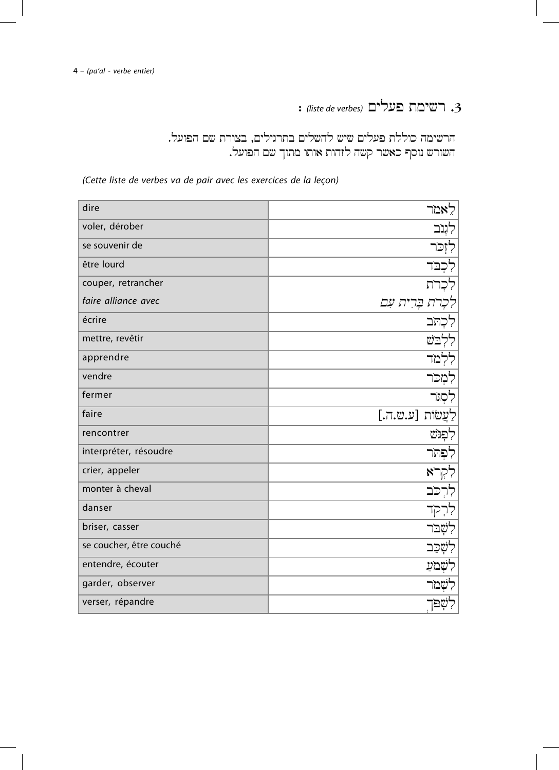: *(liste de verbes)* MylAf tmycr .3

הרשימה כוללת פעלים שיש להשלים בתרגילים, בצורת שם הפועל. השורש נוסף כאשר קשה לזהות אותו מתוך שם הפועל.

*(Cette liste de verbes va de pair avec les exercices de la leçon)*

| dire                    | לָאמר              |
|-------------------------|--------------------|
| voler, dérober          | לִנִב              |
| se souvenir de          | לִזְכֹּר           |
| être lourd              | לִכְבֹד            |
| couper, retrancher      | כרת                |
| faire alliance avec     | רת בְּרִית עִם     |
| écrire                  | לכתב               |
| mettre, revêtir         | ללבש               |
| apprendre               | ללמד               |
| vendre                  | לִמְכֹּר           |
| fermer                  | לִסְנִר            |
| faire                   | לַעֲשׂוֹת [ע.ש.ה.] |
| rencontrer              | לפגש               |
| interpréter, résoudre   | לִפְתֹּר           |
| crier, appeler          | ללבא               |
|                         |                    |
| monter à cheval         | לרִכּב             |
| danser                  | לרקד               |
| briser, casser          | לִשָּׁבּר          |
| se coucher, être couché | לִשְׁכַב           |
| entendre, écouter       | לשמע               |
| garder, observer        | לִשְׁמֹר           |